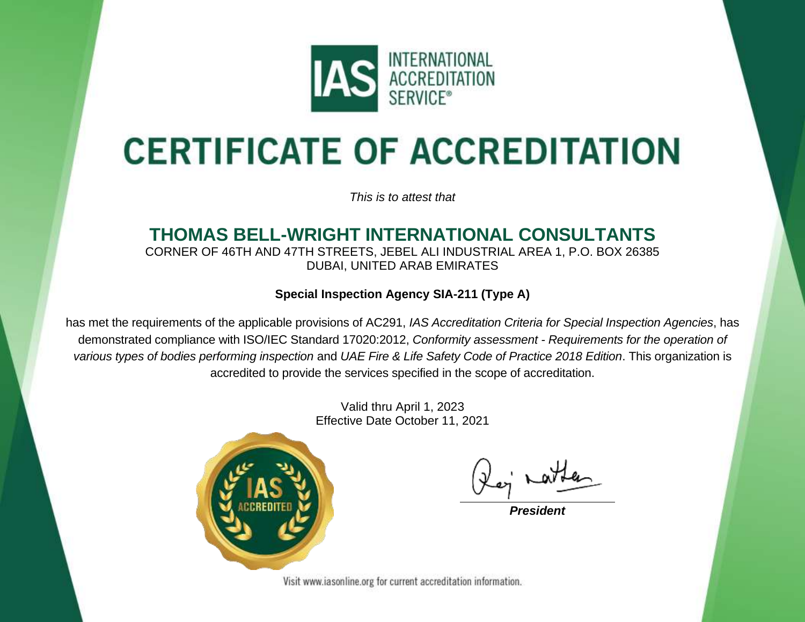

# **CERTIFICATE OF ACCREDITATION**

*This is to attest that*

#### **THOMAS BELL-WRIGHT INTERNATIONAL CONSULTANTS** CORNER OF 46TH AND 47TH STREETS, JEBEL ALI INDUSTRIAL AREA 1, P.O. BOX 26385

DUBAI, UNITED ARAB EMIRATES

#### **Special Inspection Agency SIA-211 (Type A)**

has met the requirements of the applicable provisions of AC291, *IAS Accreditation Criteria for Special Inspection Agencies*, has demonstrated compliance with ISO/IEC Standard 17020:2012, *Conformity assessment - Requirements for the operation of various types of bodies performing inspection* and *UAE Fire & Life Safety Code of Practice 2018 Edition*. This organization is accredited to provide the services specified in the scope of accreditation.

> Valid thru April 1, 2023 Effective Date October 11, 2021



*President*

Visit www.iasonline.org for current accreditation information.